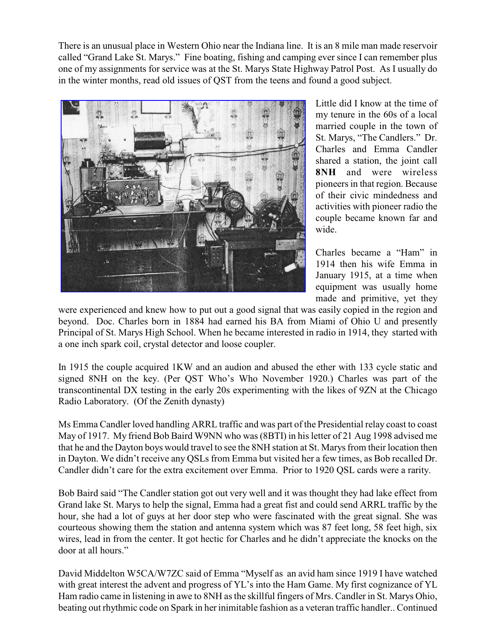There is an unusual place in Western Ohio near the Indiana line. It is an 8 mile man made reservoir called "Grand Lake St. Marys." Fine boating, fishing and camping ever since I can remember plus one of my assignments for service was at the St. Marys State Highway Patrol Post. As I usually do in the winter months, read old issues of QST from the teens and found a good subject.



Little did I know at the time of my tenure in the 60s of a local married couple in the town of St. Marys, "The Candlers." Dr. Charles and Emma Candler shared a station, the joint call **8NH** and were wireless pioneers in that region. Because of their civic mindedness and activities with pioneer radio the couple became known far and wide.

Charles became a "Ham" in 1914 then his wife Emma in January 1915, at a time when equipment was usually home made and primitive, yet they

were experienced and knew how to put out a good signal that was easily copied in the region and beyond. Doc. Charles born in 1884 had earned his BA from Miami of Ohio U and presently Principal of St. Marys High School. When he became interested in radio in 1914, they started with a one inch spark coil, crystal detector and loose coupler.

In 1915 the couple acquired 1KW and an audion and abused the ether with 133 cycle static and signed 8NH on the key. (Per QST Who's Who November 1920.) Charles was part of the transcontinental DX testing in the early 20s experimenting with the likes of 9ZN at the Chicago Radio Laboratory. (Of the Zenith dynasty)

Ms Emma Candler loved handling ARRL traffic and was part of the Presidential relay coast to coast May of 1917. My friend Bob Baird W9NN who was (8BTI) in his letter of 21 Aug 1998 advised me that he and the Dayton boys would travel to see the 8NH station at St. Marys from their location then in Dayton. We didn't receive any QSLs from Emma but visited her a few times, as Bob recalled Dr. Candler didn't care for the extra excitement over Emma. Prior to 1920 QSL cards were a rarity.

Bob Baird said "The Candler station got out very well and it was thought they had lake effect from Grand lake St. Marys to help the signal, Emma had a great fist and could send ARRL traffic by the hour, she had a lot of guys at her door step who were fascinated with the great signal. She was courteous showing them the station and antenna system which was 87 feet long, 58 feet high, six wires, lead in from the center. It got hectic for Charles and he didn't appreciate the knocks on the door at all hours."

David Middelton W5CA/W7ZC said of Emma "Myself as an avid ham since 1919 I have watched with great interest the advent and progress of YL's into the Ham Game. My first cognizance of YL Ham radio came in listening in awe to 8NH as the skillful fingers of Mrs. Candler in St. Marys Ohio, beating out rhythmic code on Spark in her inimitable fashion as a veteran traffic handler.. Continued